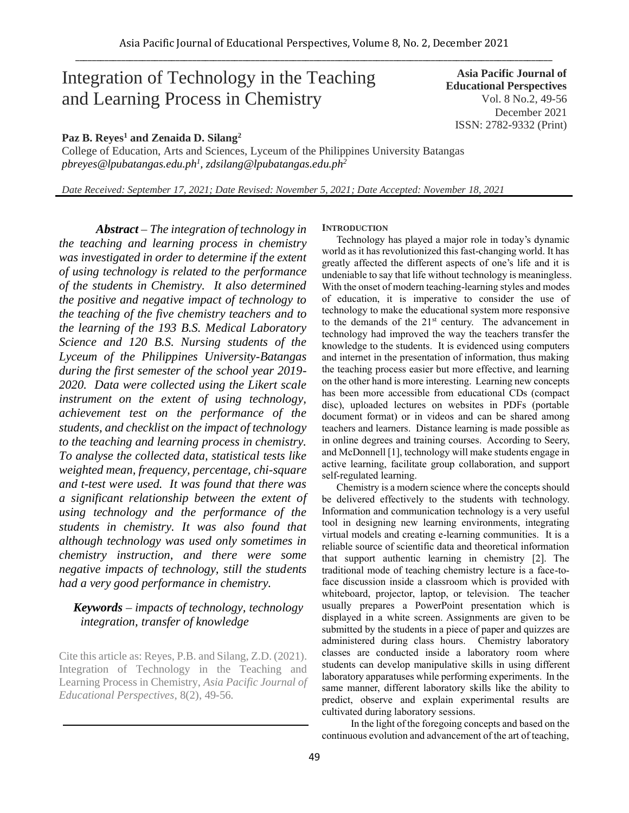# Integration of Technology in the Teaching and Learning Process in Chemistry

## **Paz B. Reyes<sup>1</sup> and Zenaida D. Silang<sup>2</sup>**

College of Education, Arts and Sciences, Lyceum of the Philippines University Batangas *pbreyes@lpubatangas.edu.ph<sup>1</sup> , zdsilang@lpubatangas.edu.ph<sup>2</sup>*

*Date Received: September 17, 2021; Date Revised: November 5, 2021; Date Accepted: November 18, 2021*

*Abstract – The integration of technology in the teaching and learning process in chemistry was investigated in order to determine if the extent of using technology is related to the performance of the students in Chemistry. It also determined the positive and negative impact of technology to the teaching of the five chemistry teachers and to the learning of the 193 B.S. Medical Laboratory Science and 120 B.S. Nursing students of the Lyceum of the Philippines University-Batangas during the first semester of the school year 2019- 2020. Data were collected using the Likert scale instrument on the extent of using technology, achievement test on the performance of the students, and checklist on the impact of technology to the teaching and learning process in chemistry. To analyse the collected data, statistical tests like weighted mean, frequency, percentage, chi-square and t-test were used. It was found that there was a significant relationship between the extent of using technology and the performance of the students in chemistry. It was also found that although technology was used only sometimes in chemistry instruction, and there were some negative impacts of technology, still the students had a very good performance in chemistry.*

# *Keywords – impacts of technology, technology integration, transfer of knowledge*

Cite this article as: Reyes, P.B. and Silang, Z.D. (2021). Integration of Technology in the Teaching and Learning Process in Chemistry, *Asia Pacific Journal of Educational Perspectives*, 8(2), 49-56*.*

## **INTRODUCTION**

Technology has played a major role in today's dynamic world as it has revolutionized this fast-changing world. It has greatly affected the different aspects of one's life and it is undeniable to say that life without technology is meaningless. With the onset of modern teaching-learning styles and modes of education, it is imperative to consider the use of technology to make the educational system more responsive to the demands of the 21<sup>st</sup> century. The advancement in technology had improved the way the teachers transfer the knowledge to the students. It is evidenced using computers and internet in the presentation of information, thus making the teaching process easier but more effective, and learning on the other hand is more interesting. Learning new concepts has been more accessible from educational CDs (compact disc), uploaded lectures on websites in PDFs (portable document format) or in videos and can be shared among teachers and learners. Distance learning is made possible as in online degrees and training courses. According to Seery, and McDonnell [1], technology will make students engage in active learning, facilitate group collaboration, and support self-regulated learning.

Chemistry is a modern science where the concepts should be delivered effectively to the students with technology. Information and communication technology is a very useful tool in designing new learning environments, integrating virtual models and creating e-learning communities. It is a reliable source of scientific data and theoretical information that support authentic learning in chemistry [2]. The traditional mode of teaching chemistry lecture is a face-toface discussion inside a classroom which is provided with whiteboard, projector, laptop, or television. The teacher usually prepares a PowerPoint presentation which is displayed in a white screen. Assignments are given to be submitted by the students in a piece of paper and quizzes are administered during class hours. Chemistry laboratory classes are conducted inside a laboratory room where students can develop manipulative skills in using different laboratory apparatuses while performing experiments. In the same manner, different laboratory skills like the ability to predict, observe and explain experimental results are cultivated during laboratory sessions.

In the light of the foregoing concepts and based on the continuous evolution and advancement of the art of teaching,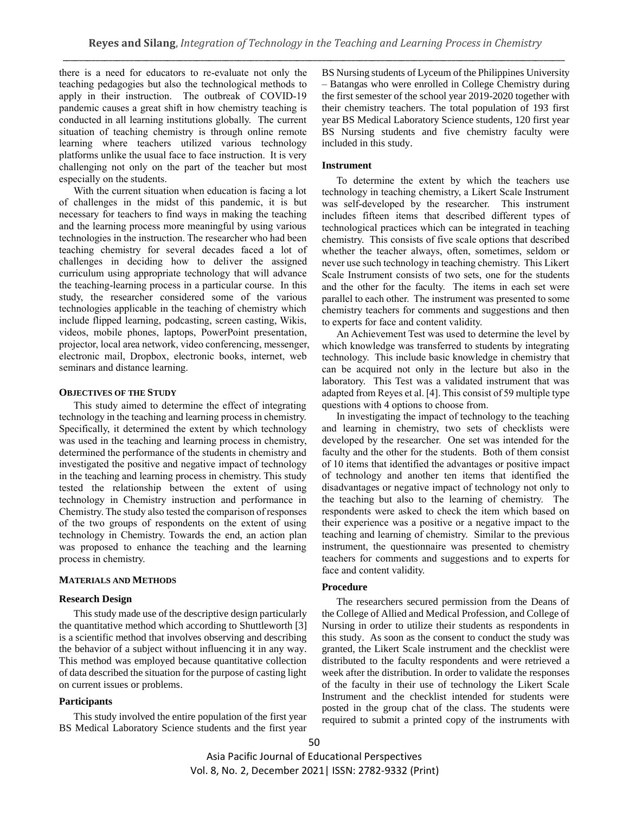there is a need for educators to re-evaluate not only the teaching pedagogies but also the technological methods to apply in their instruction. The outbreak of COVID-19 pandemic causes a great shift in how chemistry teaching is conducted in all learning institutions globally. The current situation of teaching chemistry is through online remote learning where teachers utilized various technology platforms unlike the usual face to face instruction. It is very challenging not only on the part of the teacher but most especially on the students.

With the current situation when education is facing a lot of challenges in the midst of this pandemic, it is but necessary for teachers to find ways in making the teaching and the learning process more meaningful by using various technologies in the instruction. The researcher who had been teaching chemistry for several decades faced a lot of challenges in deciding how to deliver the assigned curriculum using appropriate technology that will advance the teaching-learning process in a particular course. In this study, the researcher considered some of the various technologies applicable in the teaching of chemistry which include flipped learning, podcasting, screen casting, Wikis, videos, mobile phones, laptops, PowerPoint presentation, projector, local area network, video conferencing, messenger, electronic mail, Dropbox, electronic books, internet, web seminars and distance learning.

#### **OBJECTIVES OF THE STUDY**

This study aimed to determine the effect of integrating technology in the teaching and learning process in chemistry. Specifically, it determined the extent by which technology was used in the teaching and learning process in chemistry, determined the performance of the students in chemistry and investigated the positive and negative impact of technology in the teaching and learning process in chemistry. This study tested the relationship between the extent of using technology in Chemistry instruction and performance in Chemistry. The study also tested the comparison of responses of the two groups of respondents on the extent of using technology in Chemistry. Towards the end, an action plan was proposed to enhance the teaching and the learning process in chemistry.

#### **MATERIALS AND METHODS**

## **Research Design**

This study made use of the descriptive design particularly the quantitative method which according to Shuttleworth [3] is a scientific method that involves observing and describing the behavior of a subject without influencing it in any way. This method was employed because quantitative collection of data described the situation for the purpose of casting light on current issues or problems.

#### **Participants**

This study involved the entire population of the first year BS Medical Laboratory Science students and the first year BS Nursing students of Lyceum of the Philippines University – Batangas who were enrolled in College Chemistry during the first semester of the school year 2019-2020 together with their chemistry teachers. The total population of 193 first year BS Medical Laboratory Science students, 120 first year BS Nursing students and five chemistry faculty were included in this study.

#### **Instrument**

To determine the extent by which the teachers use technology in teaching chemistry, a Likert Scale Instrument was self-developed by the researcher. This instrument includes fifteen items that described different types of technological practices which can be integrated in teaching chemistry. This consists of five scale options that described whether the teacher always, often, sometimes, seldom or never use such technology in teaching chemistry. This Likert Scale Instrument consists of two sets, one for the students and the other for the faculty. The items in each set were parallel to each other. The instrument was presented to some chemistry teachers for comments and suggestions and then to experts for face and content validity.

An Achievement Test was used to determine the level by which knowledge was transferred to students by integrating technology. This include basic knowledge in chemistry that can be acquired not only in the lecture but also in the laboratory. This Test was a validated instrument that was adapted from Reyes et al. [4]. This consist of 59 multiple type questions with 4 options to choose from.

In investigating the impact of technology to the teaching and learning in chemistry, two sets of checklists were developed by the researcher. One set was intended for the faculty and the other for the students. Both of them consist of 10 items that identified the advantages or positive impact of technology and another ten items that identified the disadvantages or negative impact of technology not only to the teaching but also to the learning of chemistry. The respondents were asked to check the item which based on their experience was a positive or a negative impact to the teaching and learning of chemistry. Similar to the previous instrument, the questionnaire was presented to chemistry teachers for comments and suggestions and to experts for face and content validity.

#### **Procedure**

The researchers secured permission from the Deans of the College of Allied and Medical Profession, and College of Nursing in order to utilize their students as respondents in this study. As soon as the consent to conduct the study was granted, the Likert Scale instrument and the checklist were distributed to the faculty respondents and were retrieved a week after the distribution. In order to validate the responses of the faculty in their use of technology the Likert Scale Instrument and the checklist intended for students were posted in the group chat of the class. The students were required to submit a printed copy of the instruments with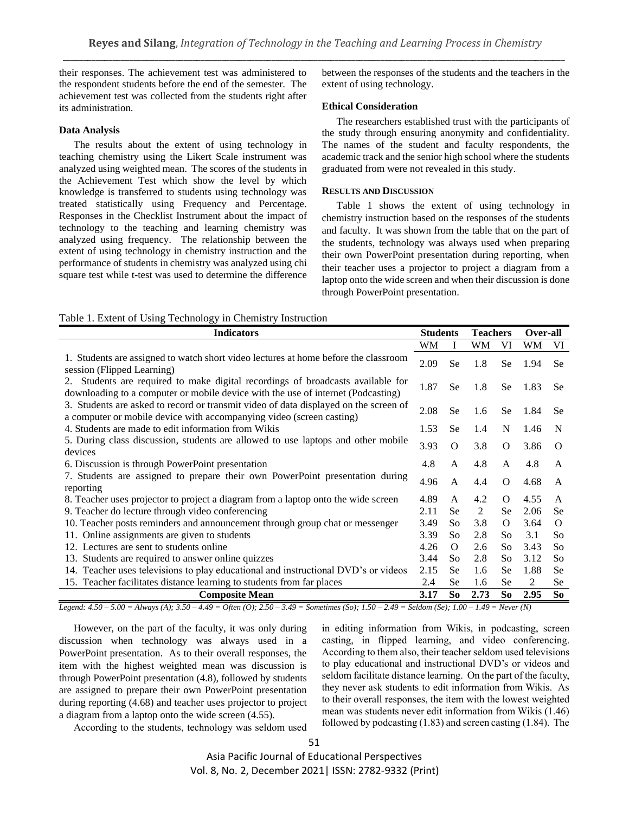their responses. The achievement test was administered to the respondent students before the end of the semester. The achievement test was collected from the students right after its administration.

### **Data Analysis**

The results about the extent of using technology in teaching chemistry using the Likert Scale instrument was analyzed using weighted mean. The scores of the students in the Achievement Test which show the level by which knowledge is transferred to students using technology was treated statistically using Frequency and Percentage. Responses in the Checklist Instrument about the impact of technology to the teaching and learning chemistry was analyzed using frequency. The relationship between the extent of using technology in chemistry instruction and the performance of students in chemistry was analyzed using chi square test while t-test was used to determine the difference between the responses of the students and the teachers in the extent of using technology.

## **Ethical Consideration**

The researchers established trust with the participants of the study through ensuring anonymity and confidentiality. The names of the student and faculty respondents, the academic track and the senior high school where the students graduated from were not revealed in this study.

#### **RESULTS AND DISCUSSION**

Table 1 shows the extent of using technology in chemistry instruction based on the responses of the students and faculty. It was shown from the table that on the part of the students, technology was always used when preparing their own PowerPoint presentation during reporting, when their teacher uses a projector to project a diagram from a laptop onto the wide screen and when their discussion is done through PowerPoint presentation.

|  | Table 1. Extent of Using Technology in Chemistry Instruction |  |  |
|--|--------------------------------------------------------------|--|--|
|  |                                                              |  |  |

| <b>Indicators</b>                                                                                                                                                                                 | <b>Students</b> |           | <b>Teachers</b> |           | Over-all |           |
|---------------------------------------------------------------------------------------------------------------------------------------------------------------------------------------------------|-----------------|-----------|-----------------|-----------|----------|-----------|
|                                                                                                                                                                                                   | WM              | I         | WM              | VI        | WM       | VI        |
| 1. Students are assigned to watch short video lectures at home before the classroom<br>session (Flipped Learning)                                                                                 | 2.09            | <b>Se</b> | 1.8             | Se        | 1.94     | <b>Se</b> |
| Students are required to make digital recordings of broadcasts available for<br>2.<br>downloading to a computer or mobile device with the use of internet (Podcasting)                            | 1.87            | <b>Se</b> | 1.8             | Se        | 1.83     | <b>Se</b> |
| 3. Students are asked to record or transmit video of data displayed on the screen of<br>a computer or mobile device with accompanying video (screen casting)                                      | 2.08            | <b>Se</b> | 1.6             | Se        | 1.84     | <b>Se</b> |
| 4. Students are made to edit information from Wikis                                                                                                                                               | 1.53            | <b>Se</b> | 1.4             | N         | 1.46     | N         |
| 5. During class discussion, students are allowed to use laptops and other mobile<br>devices                                                                                                       | 3.93            | O         | 3.8             | $\Omega$  | 3.86     | $\Omega$  |
| 6. Discussion is through PowerPoint presentation                                                                                                                                                  | 4.8             | A         | 4.8             | A         | 4.8      | A         |
| 7. Students are assigned to prepare their own PowerPoint presentation during<br>reporting                                                                                                         | 4.96            | A         | 4.4             | $\Omega$  | 4.68     | A         |
| 8. Teacher uses projector to project a diagram from a laptop onto the wide screen                                                                                                                 | 4.89            | A         | 4.2             | $\Omega$  | 4.55     | A         |
| 9. Teacher do lecture through video conferencing                                                                                                                                                  | 2.11            | <b>Se</b> | 2               | Se        | 2.06     | <b>Se</b> |
| 10. Teacher posts reminders and announcement through group chat or messenger                                                                                                                      | 3.49            | So.       | 3.8             | $\Omega$  | 3.64     | $\Omega$  |
| 11. Online assignments are given to students                                                                                                                                                      | 3.39            | So        | 2.8             | So        | 3.1      | So        |
| 12. Lectures are sent to students online                                                                                                                                                          | 4.26            | O         | 2.6             | So        | 3.43     | So        |
| 13. Students are required to answer online quizzes                                                                                                                                                | 3.44            | So        | 2.8             | So        | 3.12     | So        |
| 14. Teacher uses televisions to play educational and instructional DVD's or videos                                                                                                                | 2.15            | <b>Se</b> | 1.6             | Se        | 1.88     | Se        |
| 15. Teacher facilitates distance learning to students from far places                                                                                                                             | 2.4             | <b>Se</b> | 1.6             | <b>Se</b> | 2        | Se        |
| <b>Composite Mean</b><br>$1.70$ , $1.450$ , $5.00$ , $11.750$ , $1.10$ , $2.50$ , $1.40$ , $2.60$ , $1.450$ , $2.40$ , $5.750$ , $2.40$ , $5.11$ , $1.60$ , $1.40$ , $1.40$ , $N_{11}$ , $N_{11}$ | 3.17            | So        | 2.73            | So        | 2.95     | So        |

*Legend: 4.50 – 5.00 = Always (A); 3.50 – 4.49 = Often (O); 2.50 – 3.49 = Sometimes (So); 1.50 – 2.49 = Seldom (Se); 1.00 – 1.49 = Never (N)*

However, on the part of the faculty, it was only during discussion when technology was always used in a PowerPoint presentation. As to their overall responses, the item with the highest weighted mean was discussion is through PowerPoint presentation (4.8), followed by students are assigned to prepare their own PowerPoint presentation during reporting (4.68) and teacher uses projector to project a diagram from a laptop onto the wide screen (4.55).

in editing information from Wikis, in podcasting, screen casting, in flipped learning, and video conferencing. According to them also, their teacher seldom used televisions to play educational and instructional DVD's or videos and seldom facilitate distance learning. On the part of the faculty, they never ask students to edit information from Wikis. As to their overall responses, the item with the lowest weighted mean was students never edit information from Wikis (1.46) followed by podcasting (1.83) and screen casting (1.84). The

According to the students, technology was seldom used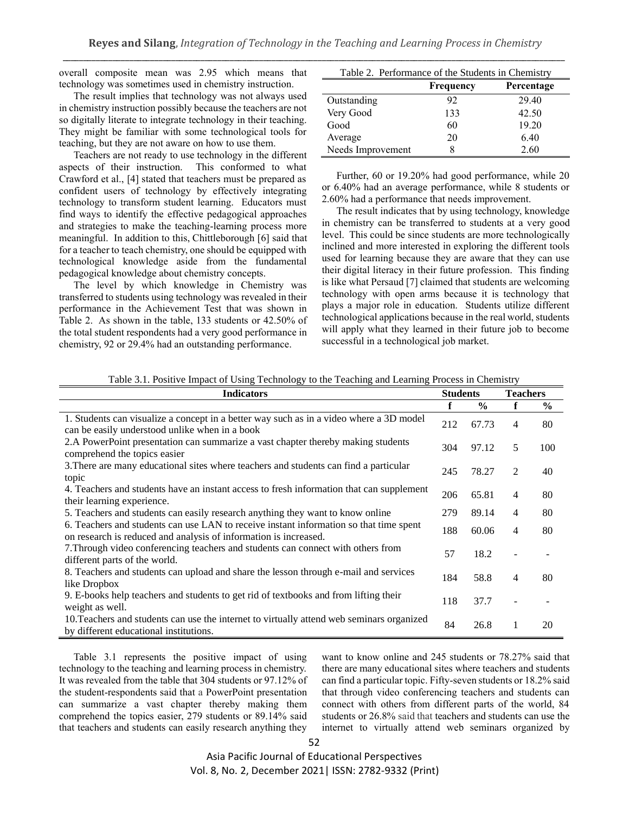overall composite mean was 2.95 which means that technology was sometimes used in chemistry instruction.

The result implies that technology was not always used in chemistry instruction possibly because the teachers are not so digitally literate to integrate technology in their teaching. They might be familiar with some technological tools for teaching, but they are not aware on how to use them.

Teachers are not ready to use technology in the different aspects of their instruction. This conformed to what Crawford et al., [4] stated that teachers must be prepared as confident users of technology by effectively integrating technology to transform student learning. Educators must find ways to identify the effective pedagogical approaches and strategies to make the teaching-learning process more meaningful. In addition to this, Chittleborough [6] said that for a teacher to teach chemistry, one should be equipped with technological knowledge aside from the fundamental pedagogical knowledge about chemistry concepts.

The level by which knowledge in Chemistry was transferred to students using technology was revealed in their performance in the Achievement Test that was shown in Table 2. As shown in the table, 133 students or 42.50% of the total student respondents had a very good performance in chemistry, 92 or 29.4% had an outstanding performance.

| Table 2. Performance of the Students in Chemistry |                  |            |  |  |  |  |  |
|---------------------------------------------------|------------------|------------|--|--|--|--|--|
|                                                   | <b>Frequency</b> | Percentage |  |  |  |  |  |
| Outstanding                                       | 92               | 29.40      |  |  |  |  |  |
| Very Good                                         | 133              | 42.50      |  |  |  |  |  |
| Good                                              | 60               | 19.20      |  |  |  |  |  |
| Average                                           | 20               | 6.40       |  |  |  |  |  |
| Needs Improvement                                 |                  | 2.60       |  |  |  |  |  |

Further, 60 or 19.20% had good performance, while 20 or 6.40% had an average performance, while 8 students or 2.60% had a performance that needs improvement.

The result indicates that by using technology, knowledge in chemistry can be transferred to students at a very good level. This could be since students are more technologically inclined and more interested in exploring the different tools used for learning because they are aware that they can use their digital literacy in their future profession. This finding is like what Persaud [7] claimed that students are welcoming technology with open arms because it is technology that plays a major role in education. Students utilize different technological applications because in the real world, students will apply what they learned in their future job to become successful in a technological job market.

|  | Table 3.1. Positive Impact of Using Technology to the Teaching and Learning Process in Chemistry |  |
|--|--------------------------------------------------------------------------------------------------|--|
|  |                                                                                                  |  |

| <b>Indicators</b>                                                                                                                                          | <b>Students</b> |               | <b>Teachers</b> |      |
|------------------------------------------------------------------------------------------------------------------------------------------------------------|-----------------|---------------|-----------------|------|
|                                                                                                                                                            | f               | $\frac{6}{9}$ | f               | $\%$ |
| 1. Students can visualize a concept in a better way such as in a video where a 3D model<br>can be easily understood unlike when in a book                  | 212             | 67.73         | 4               | 80   |
| 2.A PowerPoint presentation can summarize a vast chapter thereby making students<br>comprehend the topics easier                                           | 304             | 97.12         | 5               | 100  |
| 3. There are many educational sites where teachers and students can find a particular<br>topic                                                             | 245             | 78.27         | 2               | 40   |
| 4. Teachers and students have an instant access to fresh information that can supplement<br>their learning experience.                                     | 206             | 65.81         | 4               | 80   |
| 5. Teachers and students can easily research anything they want to know online                                                                             | 279             | 89.14         | 4               | 80   |
| 6. Teachers and students can use LAN to receive instant information so that time spent<br>on research is reduced and analysis of information is increased. | 188             | 60.06         | 4               | 80   |
| 7. Through video conferencing teachers and students can connect with others from<br>different parts of the world.                                          | 57              | 18.2          |                 |      |
| 8. Teachers and students can upload and share the lesson through e-mail and services<br>like Dropbox                                                       | 184             | 58.8          | 4               | 80   |
| 9. E-books help teachers and students to get rid of textbooks and from lifting their<br>weight as well.                                                    | 118             | 37.7          |                 |      |
| 10. Teachers and students can use the internet to virtually attend web seminars organized<br>by different educational institutions.                        | 84              | 26.8          | 1               | 20   |

Table 3.1 represents the positive impact of using technology to the teaching and learning process in chemistry. It was revealed from the table that 304 students or 97.12% of the student-respondents said that a PowerPoint presentation can summarize a vast chapter thereby making them comprehend the topics easier, 279 students or 89.14% said that teachers and students can easily research anything they want to know online and 245 students or 78.27% said that there are many educational sites where teachers and students can find a particular topic. Fifty-seven students or 18.2% said that through video conferencing teachers and students can connect with others from different parts of the world, 84 students or 26.8% said that teachers and students can use the internet to virtually attend web seminars organized by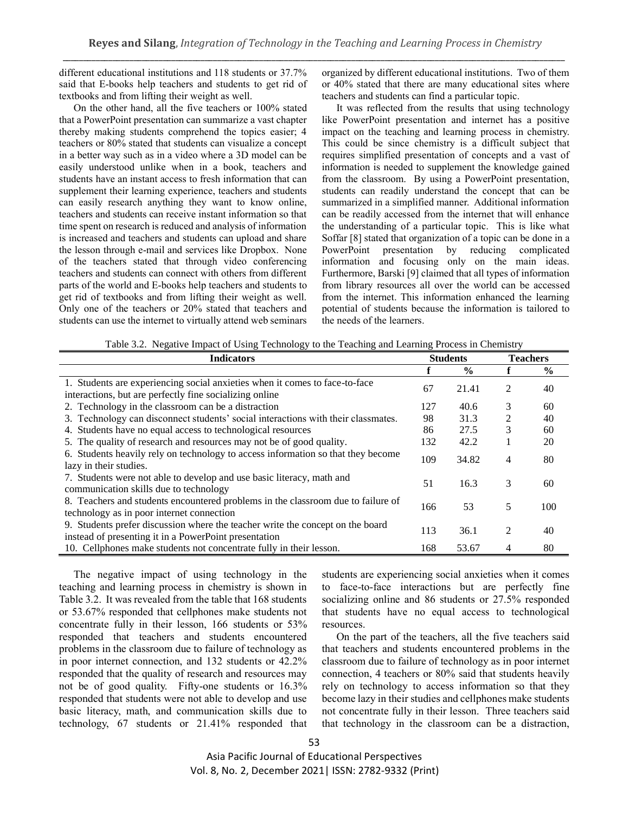different educational institutions and 118 students or 37.7% said that E-books help teachers and students to get rid of textbooks and from lifting their weight as well.

On the other hand, all the five teachers or 100% stated that a PowerPoint presentation can summarize a vast chapter thereby making students comprehend the topics easier; 4 teachers or 80% stated that students can visualize a concept in a better way such as in a video where a 3D model can be easily understood unlike when in a book, teachers and students have an instant access to fresh information that can supplement their learning experience, teachers and students can easily research anything they want to know online, teachers and students can receive instant information so that time spent on research is reduced and analysis of information is increased and teachers and students can upload and share the lesson through e-mail and services like Dropbox. None of the teachers stated that through video conferencing teachers and students can connect with others from different parts of the world and E-books help teachers and students to get rid of textbooks and from lifting their weight as well. Only one of the teachers or 20% stated that teachers and students can use the internet to virtually attend web seminars organized by different educational institutions. Two of them or 40% stated that there are many educational sites where teachers and students can find a particular topic.

It was reflected from the results that using technology like PowerPoint presentation and internet has a positive impact on the teaching and learning process in chemistry. This could be since chemistry is a difficult subject that requires simplified presentation of concepts and a vast of information is needed to supplement the knowledge gained from the classroom. By using a PowerPoint presentation, students can readily understand the concept that can be summarized in a simplified manner. Additional information can be readily accessed from the internet that will enhance the understanding of a particular topic. This is like what Soffar [8] stated that organization of a topic can be done in a PowerPoint presentation by reducing complicated information and focusing only on the main ideas. Furthermore, Barski [9] claimed that all types of information from library resources all over the world can be accessed from the internet. This information enhanced the learning potential of students because the information is tailored to the needs of the learners.

|  | Table 3.2. Negative Impact of Using Technology to the Teaching and Learning Process in Chemistry |  |  |  |
|--|--------------------------------------------------------------------------------------------------|--|--|--|
|  |                                                                                                  |  |  |  |

| <b>Indicators</b>                                                                                                                       | <b>Students</b> |               | <b>Teachers</b> |               |
|-----------------------------------------------------------------------------------------------------------------------------------------|-----------------|---------------|-----------------|---------------|
|                                                                                                                                         |                 | $\frac{0}{0}$ |                 | $\frac{6}{6}$ |
| 1. Students are experiencing social anxieties when it comes to face-to-face<br>interactions, but are perfectly fine socializing online  | 67              | 21.41         | 2               | 40            |
| 2. Technology in the classroom can be a distraction                                                                                     | 127             | 40.6          | 3               | 60            |
| 3. Technology can disconnect students' social interactions with their classmates.                                                       | 98              | 31.3          | 2               | 40            |
| 4. Students have no equal access to technological resources                                                                             | 86              | 27.5          | 3               | 60            |
| 5. The quality of research and resources may not be of good quality.                                                                    | 132             | 42.2          |                 | 20            |
| 6. Students heavily rely on technology to access information so that they become<br>lazy in their studies.                              | 109             | 34.82         | 4               | 80            |
| 7. Students were not able to develop and use basic literacy, math and<br>communication skills due to technology                         | 51              | 16.3          | 3               | 60            |
| 8. Teachers and students encountered problems in the classroom due to failure of<br>technology as in poor internet connection           | 166             | 53            | 5               | 100           |
| 9. Students prefer discussion where the teacher write the concept on the board<br>instead of presenting it in a PowerPoint presentation | 113             | 36.1          | 2               | 40            |
| 10. Cellphones make students not concentrate fully in their lesson.                                                                     | 168             | 53.67         | 4               | 80            |

The negative impact of using technology in the teaching and learning process in chemistry is shown in Table 3.2. It was revealed from the table that 168 students or 53.67% responded that cellphones make students not concentrate fully in their lesson, 166 students or 53% responded that teachers and students encountered problems in the classroom due to failure of technology as in poor internet connection, and 132 students or 42.2% responded that the quality of research and resources may not be of good quality. Fifty-one students or 16.3% responded that students were not able to develop and use basic literacy, math, and communication skills due to technology, 67 students or 21.41% responded that students are experiencing social anxieties when it comes to face-to-face interactions but are perfectly fine socializing online and 86 students or 27.5% responded that students have no equal access to technological resources.

On the part of the teachers, all the five teachers said that teachers and students encountered problems in the classroom due to failure of technology as in poor internet connection, 4 teachers or 80% said that students heavily rely on technology to access information so that they become lazy in their studies and cellphones make students not concentrate fully in their lesson. Three teachers said that technology in the classroom can be a distraction,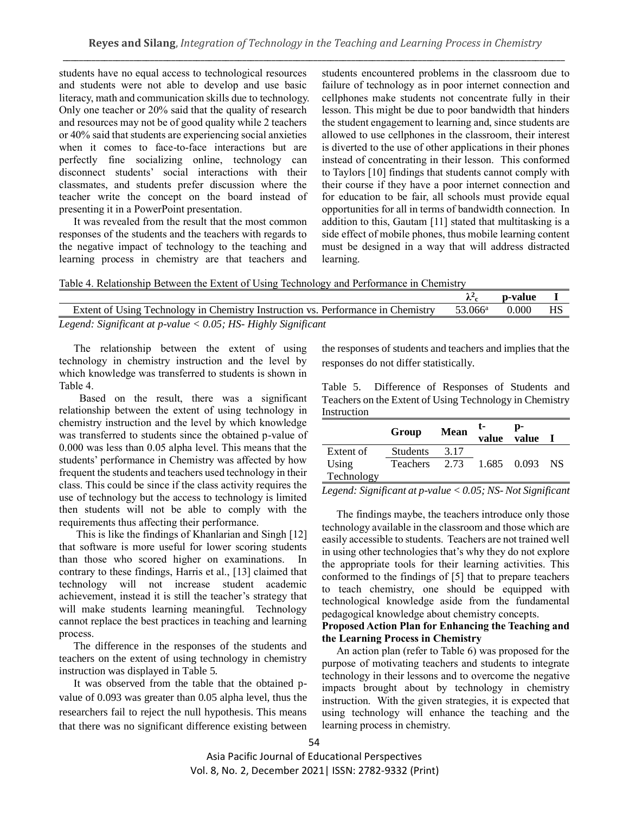students have no equal access to technological resources and students were not able to develop and use basic literacy, math and communication skills due to technology. Only one teacher or 20% said that the quality of research and resources may not be of good quality while 2 teachers or 40% said that students are experiencing social anxieties when it comes to face-to-face interactions but are perfectly fine socializing online, technology can disconnect students' social interactions with their classmates, and students prefer discussion where the teacher write the concept on the board instead of presenting it in a PowerPoint presentation.

It was revealed from the result that the most common responses of the students and the teachers with regards to the negative impact of technology to the teaching and learning process in chemistry are that teachers and students encountered problems in the classroom due to failure of technology as in poor internet connection and cellphones make students not concentrate fully in their lesson. This might be due to poor bandwidth that hinders the student engagement to learning and, since students are allowed to use cellphones in the classroom, their interest is diverted to the use of other applications in their phones instead of concentrating in their lesson. This conformed to Taylors [10] findings that students cannot comply with their course if they have a poor internet connection and for education to be fair, all schools must provide equal opportunities for all in terms of bandwidth connection. In addition to this, Gautam [11] stated that multitasking is a side effect of mobile phones, thus mobile learning content must be designed in a way that will address distracted learning.

Table 4. Relationship Between the Extent of Using Technology and Performance in Chemistry

|                                                                                  |                  | p-value |    |
|----------------------------------------------------------------------------------|------------------|---------|----|
| Extent of Using Technology in Chemistry Instruction vs. Performance in Chemistry | $53.066^{\rm a}$ | 0.000   | HS |
| Legend: Significant at $p$ -value < 0.05; HS- Highly Significant                 |                  |         |    |

The relationship between the extent of using technology in chemistry instruction and the level by which knowledge was transferred to students is shown in Table 4.

Based on the result, there was a significant relationship between the extent of using technology in chemistry instruction and the level by which knowledge was transferred to students since the obtained p-value of 0.000 was less than 0.05 alpha level. This means that the students' performance in Chemistry was affected by how frequent the students and teachers used technology in their class. This could be since if the class activity requires the use of technology but the access to technology is limited then students will not be able to comply with the requirements thus affecting their performance.

This is like the findings of Khanlarian and Singh [12] that software is more useful for lower scoring students than those who scored higher on examinations. In contrary to these findings, Harris et al., [13] claimed that technology will not increase student academic achievement, instead it is still the teacher's strategy that will make students learning meaningful. Technology cannot replace the best practices in teaching and learning process.

The difference in the responses of the students and teachers on the extent of using technology in chemistry instruction was displayed in Table 5.

It was observed from the table that the obtained pvalue of 0.093 was greater than 0.05 alpha level, thus the researchers fail to reject the null hypothesis. This means that there was no significant difference existing between

the responses of students and teachers and implies that the responses do not differ statistically.

Table 5. Difference of Responses of Students and Teachers on the Extent of Using Technology in Chemistry Instruction

|            | Group                        | Mean | t- | p-<br>value value I |  |
|------------|------------------------------|------|----|---------------------|--|
| Extent of  | <b>Students</b>              | 3.17 |    |                     |  |
| Using      | Teachers 2.73 1.685 0.093 NS |      |    |                     |  |
| Technology |                              |      |    |                     |  |

*Legend: Significant at p-value < 0.05; NS- Not Significant*

The findings maybe, the teachers introduce only those technology available in the classroom and those which are easily accessible to students. Teachers are not trained well in using other technologies that's why they do not explore the appropriate tools for their learning activities. This conformed to the findings of [5] that to prepare teachers to teach chemistry, one should be equipped with technological knowledge aside from the fundamental pedagogical knowledge about chemistry concepts.

## **Proposed Action Plan for Enhancing the Teaching and the Learning Process in Chemistry**

An action plan (refer to Table 6) was proposed for the purpose of motivating teachers and students to integrate technology in their lessons and to overcome the negative impacts brought about by technology in chemistry instruction. With the given strategies, it is expected that using technology will enhance the teaching and the learning process in chemistry.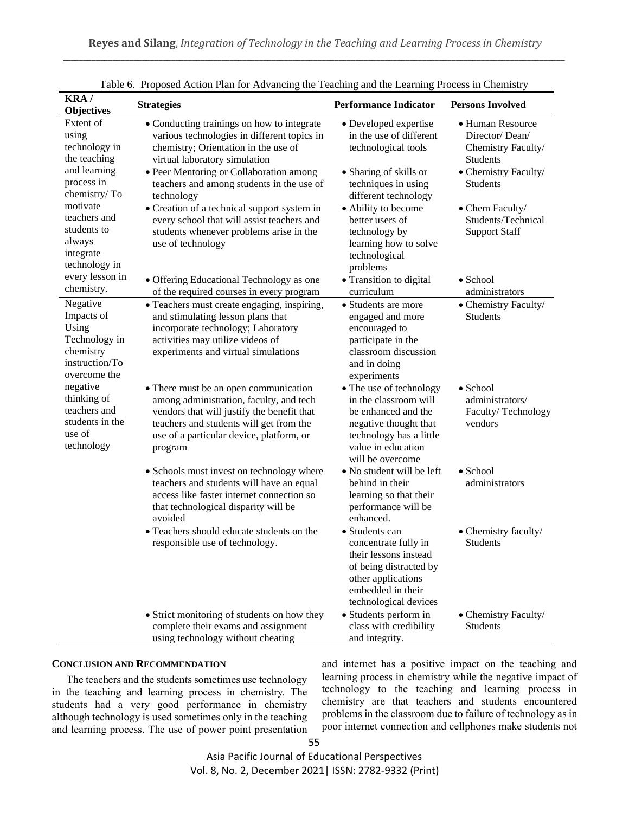| KRA/                       | <b>Strategies</b>                                                                     | <b>Performance Indicator</b>                  | <b>Persons Involved</b>               |  |  |
|----------------------------|---------------------------------------------------------------------------------------|-----------------------------------------------|---------------------------------------|--|--|
| <b>Objectives</b>          |                                                                                       |                                               |                                       |  |  |
| Extent of                  | • Conducting trainings on how to integrate                                            | • Developed expertise                         | • Human Resource                      |  |  |
| using                      | various technologies in different topics in                                           | in the use of different                       | Director/Dean/                        |  |  |
| technology in              | chemistry; Orientation in the use of                                                  | technological tools                           | Chemistry Faculty/                    |  |  |
| the teaching               | virtual laboratory simulation                                                         |                                               | Students                              |  |  |
| and learning               | • Peer Mentoring or Collaboration among                                               | • Sharing of skills or                        | • Chemistry Faculty/                  |  |  |
| process in<br>chemistry/To | teachers and among students in the use of                                             | techniques in using                           | Students                              |  |  |
| motivate                   | technology                                                                            | different technology                          |                                       |  |  |
| teachers and               | • Creation of a technical support system in                                           | • Ability to become<br>better users of        | • Chem Faculty/<br>Students/Technical |  |  |
| students to                | every school that will assist teachers and<br>students whenever problems arise in the | technology by                                 | <b>Support Staff</b>                  |  |  |
| always                     | use of technology                                                                     | learning how to solve                         |                                       |  |  |
| integrate                  |                                                                                       | technological                                 |                                       |  |  |
| technology in              |                                                                                       | problems                                      |                                       |  |  |
| every lesson in            | • Offering Educational Technology as one                                              | · Transition to digital                       | $\bullet$ School                      |  |  |
| chemistry.                 | of the required courses in every program                                              | curriculum                                    | administrators                        |  |  |
| Negative                   | • Teachers must create engaging, inspiring,                                           | • Students are more                           | • Chemistry Faculty/                  |  |  |
| Impacts of                 | and stimulating lesson plans that                                                     | engaged and more                              | Students                              |  |  |
| Using                      | incorporate technology; Laboratory                                                    | encouraged to                                 |                                       |  |  |
| Technology in              | activities may utilize videos of                                                      | participate in the                            |                                       |  |  |
| chemistry                  | experiments and virtual simulations                                                   | classroom discussion                          |                                       |  |  |
| instruction/To             |                                                                                       | and in doing                                  |                                       |  |  |
| overcome the               |                                                                                       | experiments                                   |                                       |  |  |
| negative                   | • There must be an open communication                                                 | • The use of technology                       | $\bullet$ School                      |  |  |
| thinking of                | among administration, faculty, and tech                                               | in the classroom will                         | administrators/                       |  |  |
| teachers and               | vendors that will justify the benefit that                                            | be enhanced and the                           | Faculty/Technology                    |  |  |
| students in the            | teachers and students will get from the                                               | negative thought that                         | vendors                               |  |  |
| use of                     | use of a particular device, platform, or                                              | technology has a little                       |                                       |  |  |
| technology                 | program                                                                               | value in education                            |                                       |  |  |
|                            |                                                                                       | will be overcome                              |                                       |  |  |
|                            | • Schools must invest on technology where                                             | • No student will be left                     | $\bullet$ School                      |  |  |
|                            | teachers and students will have an equal<br>access like faster internet connection so | behind in their                               | administrators                        |  |  |
|                            | that technological disparity will be                                                  | learning so that their<br>performance will be |                                       |  |  |
|                            | avoided                                                                               | enhanced.                                     |                                       |  |  |
|                            | • Teachers should educate students on the                                             | • Students can                                | • Chemistry faculty/                  |  |  |
|                            | responsible use of technology.                                                        | concentrate fully in                          | <b>Students</b>                       |  |  |
|                            |                                                                                       | their lessons instead                         |                                       |  |  |
|                            |                                                                                       | of being distracted by                        |                                       |  |  |
|                            |                                                                                       | other applications                            |                                       |  |  |
|                            |                                                                                       | embedded in their                             |                                       |  |  |
|                            |                                                                                       | technological devices                         |                                       |  |  |
|                            | • Strict monitoring of students on how they                                           | • Students perform in                         | • Chemistry Faculty/                  |  |  |
|                            | complete their exams and assignment                                                   | class with credibility                        | <b>Students</b>                       |  |  |
|                            | using technology without cheating                                                     | and integrity.                                |                                       |  |  |

|  |  |  |  |  | Table 6. Proposed Action Plan for Advancing the Teaching and the Learning Process in Chemistry |
|--|--|--|--|--|------------------------------------------------------------------------------------------------|
|  |  |  |  |  |                                                                                                |

## **CONCLUSION AND RECOMMENDATION**

The teachers and the students sometimes use technology in the teaching and learning process in chemistry. The students had a very good performance in chemistry although technology is used sometimes only in the teaching and learning process. The use of power point presentation and internet has a positive impact on the teaching and learning process in chemistry while the negative impact of technology to the teaching and learning process in chemistry are that teachers and students encountered problems in the classroom due to failure of technology as in poor internet connection and cellphones make students not